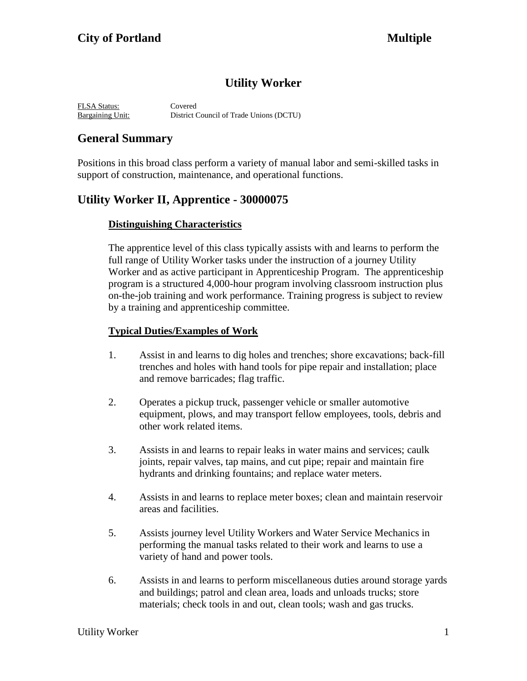# **Utility Worker**

FLSA Status: Covered Bargaining Unit: District Council of Trade Unions (DCTU)

# **General Summary**

Positions in this broad class perform a variety of manual labor and semi-skilled tasks in support of construction, maintenance, and operational functions.

## **Utility Worker II, Apprentice - 30000075**

### **Distinguishing Characteristics**

The apprentice level of this class typically assists with and learns to perform the full range of Utility Worker tasks under the instruction of a journey Utility Worker and as active participant in Apprenticeship Program. The apprenticeship program is a structured 4,000-hour program involving classroom instruction plus on-the-job training and work performance. Training progress is subject to review by a training and apprenticeship committee.

#### **Typical Duties/Examples of Work**

- 1. Assist in and learns to dig holes and trenches; shore excavations; back-fill trenches and holes with hand tools for pipe repair and installation; place and remove barricades; flag traffic.
- 2. Operates a pickup truck, passenger vehicle or smaller automotive equipment, plows, and may transport fellow employees, tools, debris and other work related items.
- 3. Assists in and learns to repair leaks in water mains and services; caulk joints, repair valves, tap mains, and cut pipe; repair and maintain fire hydrants and drinking fountains; and replace water meters.
- 4. Assists in and learns to replace meter boxes; clean and maintain reservoir areas and facilities.
- 5. Assists journey level Utility Workers and Water Service Mechanics in performing the manual tasks related to their work and learns to use a variety of hand and power tools.
- 6. Assists in and learns to perform miscellaneous duties around storage yards and buildings; patrol and clean area, loads and unloads trucks; store materials; check tools in and out, clean tools; wash and gas trucks.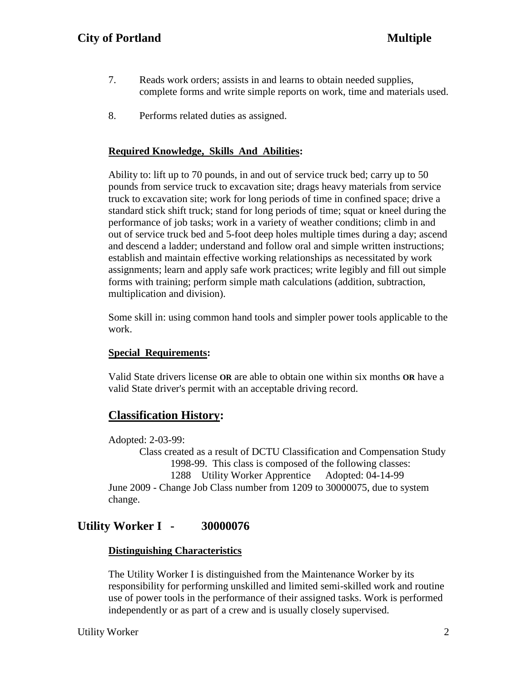- 7. Reads work orders; assists in and learns to obtain needed supplies, complete forms and write simple reports on work, time and materials used.
- 8. Performs related duties as assigned.

### **Required Knowledge, Skills And Abilities:**

Ability to: lift up to 70 pounds, in and out of service truck bed; carry up to 50 pounds from service truck to excavation site; drags heavy materials from service truck to excavation site; work for long periods of time in confined space; drive a standard stick shift truck; stand for long periods of time; squat or kneel during the performance of job tasks; work in a variety of weather conditions; climb in and out of service truck bed and 5-foot deep holes multiple times during a day; ascend and descend a ladder; understand and follow oral and simple written instructions; establish and maintain effective working relationships as necessitated by work assignments; learn and apply safe work practices; write legibly and fill out simple forms with training; perform simple math calculations (addition, subtraction, multiplication and division).

Some skill in: using common hand tools and simpler power tools applicable to the work.

#### **Special Requirements:**

Valid State drivers license **OR** are able to obtain one within six months **OR** have a valid State driver's permit with an acceptable driving record.

## **Classification History:**

Adopted: 2-03-99:

Class created as a result of DCTU Classification and Compensation Study 1998-99. This class is composed of the following classes: 1288 Utility Worker Apprentice Adopted: 04-14-99 June 2009 - Change Job Class number from 1209 to 30000075, due to system change.

# **Utility Worker I - 30000076**

#### **Distinguishing Characteristics**

The Utility Worker I is distinguished from the Maintenance Worker by its responsibility for performing unskilled and limited semi-skilled work and routine use of power tools in the performance of their assigned tasks. Work is performed independently or as part of a crew and is usually closely supervised.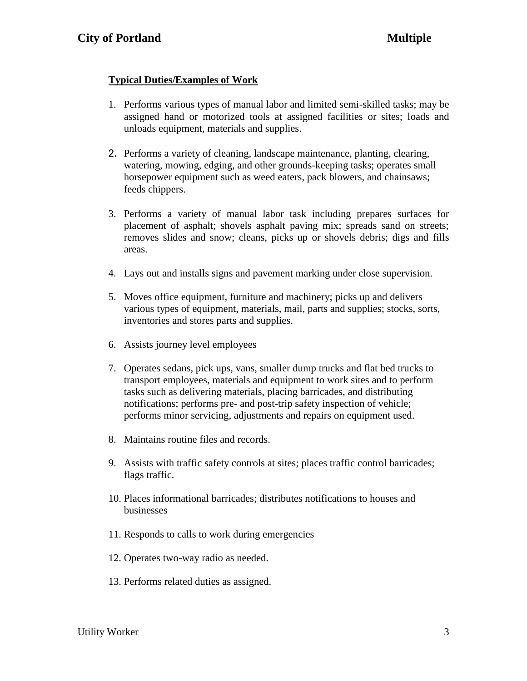## **Typical Duties/Examples of Work**

- 1. Performs various types of manual labor and limited semi-skilled tasks; may be assigned hand or motorized tools at assigned facilities or sites; loads and unloads equipment, materials and supplies.
- 2. Performs a variety of cleaning, landscape maintenance, planting, clearing, watering, mowing, edging, and other grounds-keeping tasks; operates small horsepower equipment such as weed eaters, pack blowers, and chainsaws; feeds chippers.
- 3. Performs a variety of manual labor task including prepares surfaces for placement of asphalt; shovels asphalt paving mix; spreads sand on streets; removes slides and snow; cleans, picks up or shovels debris; digs and fills areas.
- 4. Lays out and installs signs and pavement marking under close supervision.
- 5. Moves office equipment, furniture and machinery; picks up and delivers various types of equipment, materials, mail, parts and supplies; stocks, sorts, inventories and stores parts and supplies.
- 6. Assists journey level employees
- 7. Operates sedans, pick ups, vans, smaller dump trucks and flat bed trucks to transport employees, materials and equipment to work sites and to perform tasks such as delivering materials, placing barricades, and distributing notifications; performs pre- and post-trip safety inspection of vehicle; performs minor servicing, adjustments and repairs on equipment used.
- 8. Maintains routine files and records.
- 9. Assists with traffic safety controls at sites; places traffic control barricades; flags traffic.
- 10. Places informational barricades; distributes notifications to houses and businesses
- 11. Responds to calls to work during emergencies
- 12. Operates two-way radio as needed.
- 13. Performs related duties as assigned.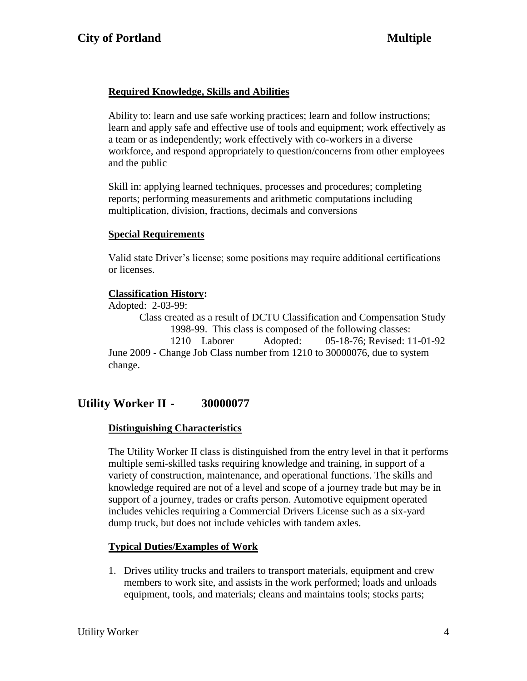## **Required Knowledge, Skills and Abilities**

Ability to: learn and use safe working practices; learn and follow instructions; learn and apply safe and effective use of tools and equipment; work effectively as a team or as independently; work effectively with co-workers in a diverse workforce, and respond appropriately to question/concerns from other employees and the public

Skill in: applying learned techniques, processes and procedures; completing reports; performing measurements and arithmetic computations including multiplication, division, fractions, decimals and conversions

#### **Special Requirements**

Valid state Driver's license; some positions may require additional certifications or licenses.

### **Classification History:**

Adopted: 2-03-99:

Class created as a result of DCTU Classification and Compensation Study 1998-99. This class is composed of the following classes: 1210 Laborer Adopted: 05-18-76; Revised: 11-01-92 June 2009 - Change Job Class number from 1210 to 30000076, due to system change.

# **Utility Worker II - 30000077**

#### **Distinguishing Characteristics**

The Utility Worker II class is distinguished from the entry level in that it performs multiple semi-skilled tasks requiring knowledge and training, in support of a variety of construction, maintenance, and operational functions. The skills and knowledge required are not of a level and scope of a journey trade but may be in support of a journey, trades or crafts person. Automotive equipment operated includes vehicles requiring a Commercial Drivers License such as a six-yard dump truck, but does not include vehicles with tandem axles.

## **Typical Duties/Examples of Work**

1. Drives utility trucks and trailers to transport materials, equipment and crew members to work site, and assists in the work performed; loads and unloads equipment, tools, and materials; cleans and maintains tools; stocks parts;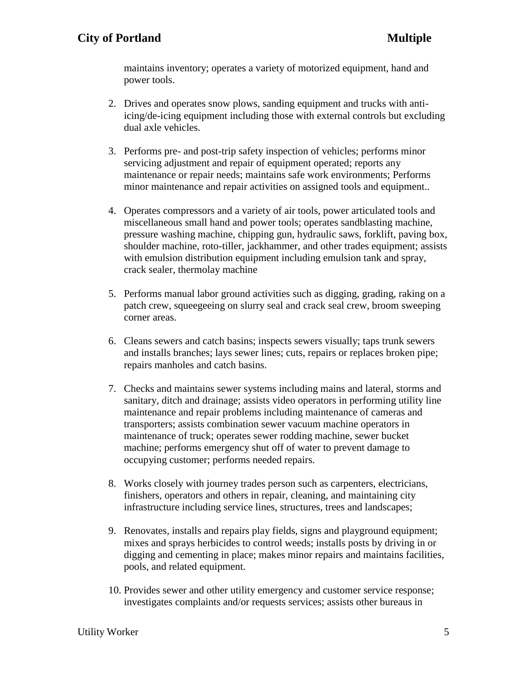maintains inventory; operates a variety of motorized equipment, hand and power tools.

- 2. Drives and operates snow plows, sanding equipment and trucks with antiicing/de-icing equipment including those with external controls but excluding dual axle vehicles.
- 3. Performs pre- and post-trip safety inspection of vehicles; performs minor servicing adjustment and repair of equipment operated; reports any maintenance or repair needs; maintains safe work environments; Performs minor maintenance and repair activities on assigned tools and equipment..
- 4. Operates compressors and a variety of air tools, power articulated tools and miscellaneous small hand and power tools; operates sandblasting machine, pressure washing machine, chipping gun, hydraulic saws, forklift, paving box, shoulder machine, roto-tiller, jackhammer, and other trades equipment; assists with emulsion distribution equipment including emulsion tank and spray, crack sealer, thermolay machine
- 5. Performs manual labor ground activities such as digging, grading, raking on a patch crew, squeegeeing on slurry seal and crack seal crew, broom sweeping corner areas.
- 6. Cleans sewers and catch basins; inspects sewers visually; taps trunk sewers and installs branches; lays sewer lines; cuts, repairs or replaces broken pipe; repairs manholes and catch basins.
- 7. Checks and maintains sewer systems including mains and lateral, storms and sanitary, ditch and drainage; assists video operators in performing utility line maintenance and repair problems including maintenance of cameras and transporters; assists combination sewer vacuum machine operators in maintenance of truck; operates sewer rodding machine, sewer bucket machine; performs emergency shut off of water to prevent damage to occupying customer; performs needed repairs.
- 8. Works closely with journey trades person such as carpenters, electricians, finishers, operators and others in repair, cleaning, and maintaining city infrastructure including service lines, structures, trees and landscapes;
- 9. Renovates, installs and repairs play fields, signs and playground equipment; mixes and sprays herbicides to control weeds; installs posts by driving in or digging and cementing in place; makes minor repairs and maintains facilities, pools, and related equipment.
- 10. Provides sewer and other utility emergency and customer service response; investigates complaints and/or requests services; assists other bureaus in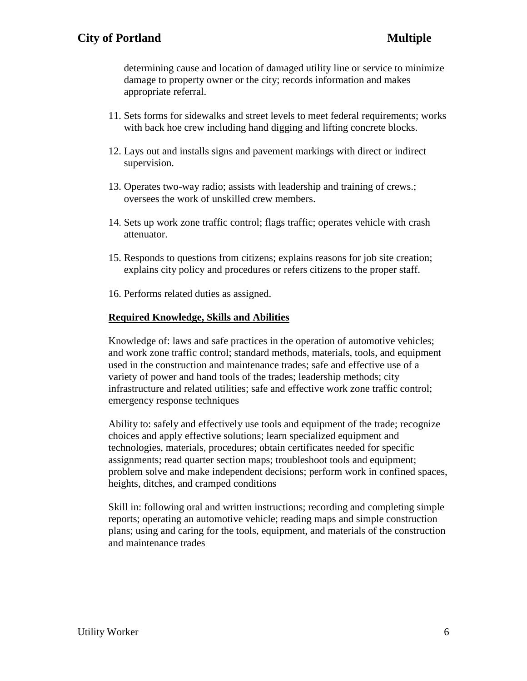determining cause and location of damaged utility line or service to minimize damage to property owner or the city; records information and makes appropriate referral.

- 11. Sets forms for sidewalks and street levels to meet federal requirements; works with back hoe crew including hand digging and lifting concrete blocks.
- 12. Lays out and installs signs and pavement markings with direct or indirect supervision.
- 13. Operates two-way radio; assists with leadership and training of crews.; oversees the work of unskilled crew members.
- 14. Sets up work zone traffic control; flags traffic; operates vehicle with crash attenuator.
- 15. Responds to questions from citizens; explains reasons for job site creation; explains city policy and procedures or refers citizens to the proper staff.
- 16. Performs related duties as assigned.

#### **Required Knowledge, Skills and Abilities**

Knowledge of: laws and safe practices in the operation of automotive vehicles; and work zone traffic control; standard methods, materials, tools, and equipment used in the construction and maintenance trades; safe and effective use of a variety of power and hand tools of the trades; leadership methods; city infrastructure and related utilities; safe and effective work zone traffic control; emergency response techniques

Ability to: safely and effectively use tools and equipment of the trade; recognize choices and apply effective solutions; learn specialized equipment and technologies, materials, procedures; obtain certificates needed for specific assignments; read quarter section maps; troubleshoot tools and equipment; problem solve and make independent decisions; perform work in confined spaces, heights, ditches, and cramped conditions

Skill in: following oral and written instructions; recording and completing simple reports; operating an automotive vehicle; reading maps and simple construction plans; using and caring for the tools, equipment, and materials of the construction and maintenance trades